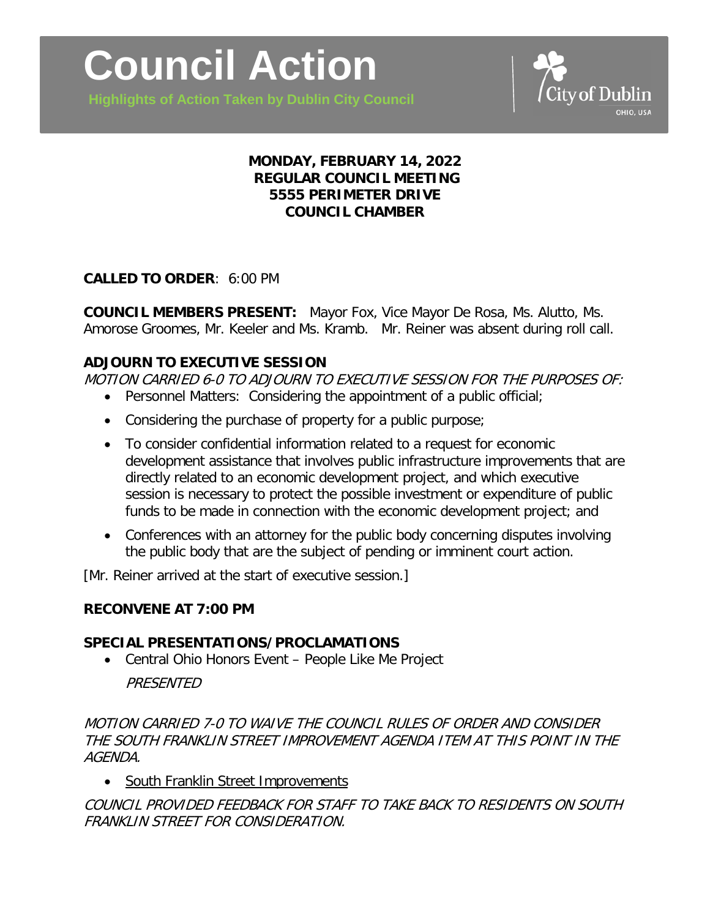**Highlights of Action Taken by Dublin City Council**



#### **MONDAY, FEBRUARY 14, 2022 REGULAR COUNCIL MEETING 5555 PERIMETER DRIVE COUNCIL CHAMBER**

### **CALLED TO ORDER**: 6:00 PM

**COUNCIL MEMBERS PRESENT:** Mayor Fox, Vice Mayor De Rosa, Ms. Alutto, Ms. Amorose Groomes, Mr. Keeler and Ms. Kramb. Mr. Reiner was absent during roll call.

#### **ADJOURN TO EXECUTIVE SESSION**

MOTION CARRIED 6-0 TO ADJOURN TO EXECUTIVE SESSION FOR THE PURPOSES OF:

- Personnel Matters: Considering the appointment of a public official;
- Considering the purchase of property for a public purpose;
- To consider confidential information related to a request for economic development assistance that involves public infrastructure improvements that are directly related to an economic development project, and which executive session is necessary to protect the possible investment or expenditure of public funds to be made in connection with the economic development project; and
- Conferences with an attorney for the public body concerning disputes involving the public body that are the subject of pending or imminent court action.

[Mr. Reiner arrived at the start of executive session.]

#### **RECONVENE AT 7:00 PM**

#### **SPECIAL PRESENTATIONS/PROCLAMATIONS**

• Central Ohio Honors Event – People Like Me Project

### PRESENTED

MOTION CARRIED 7-0 TO WAIVE THE COUNCIL RULES OF ORDER AND CONSIDER THE SOUTH FRANKLIN STREET IMPROVEMENT AGENDA ITEM AT THIS POINT IN THE AGENDA.

• South Franklin Street Improvements

COUNCIL PROVIDED FEEDBACK FOR STAFF TO TAKE BACK TO RESIDENTS ON SOUTH FRANKLIN STREET FOR CONSIDERATION.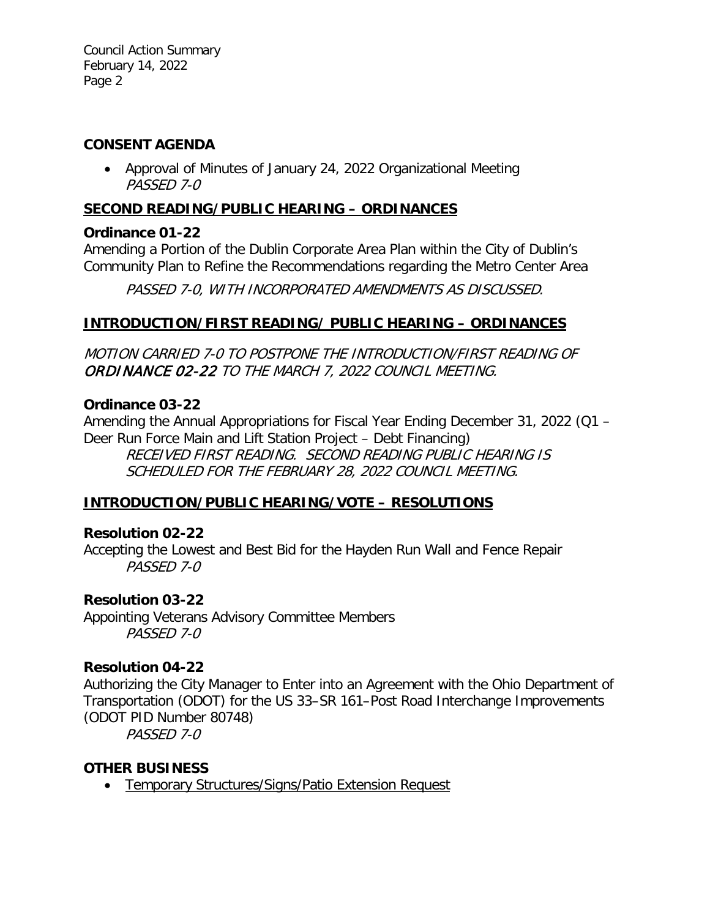Council Action Summary February 14, 2022 Page 2

#### **CONSENT AGENDA**

• Approval of Minutes of January 24, 2022 Organizational Meeting PASSED 7-0

## **SECOND READING/PUBLIC HEARING – ORDINANCES**

## **Ordinance 01-22**

Amending a Portion of the Dublin Corporate Area Plan within the City of Dublin's Community Plan to Refine the Recommendations regarding the Metro Center Area

PASSED 7-0, WITH INCORPORATED AMENDMENTS AS DISCUSSED.

## **INTRODUCTION/FIRST READING/ PUBLIC HEARING – ORDINANCES**

MOTION CARRIED 7-0 TO POSTPONE THE INTRODUCTION/FIRST READING OF ORDINANCE 02-22 TO THE MARCH 7, 2022 COUNCIL MEETING.

### **Ordinance 03-22**

Amending the Annual Appropriations for Fiscal Year Ending December 31, 2022 (Q1 – Deer Run Force Main and Lift Station Project – Debt Financing)

RECEIVED FIRST READING. SECOND READING PUBLIC HEARING IS SCHEDULED FOR THE FEBRUARY 28, 2022 COUNCIL MEETING.

# **INTRODUCTION/PUBLIC HEARING/VOTE – RESOLUTIONS**

# **Resolution 02-22**

Accepting the Lowest and Best Bid for the Hayden Run Wall and Fence Repair PASSED 7-0

# **Resolution 03-22**

Appointing Veterans Advisory Committee Members PASSED 7-0

### **Resolution 04-22**

Authorizing the City Manager to Enter into an Agreement with the Ohio Department of Transportation (ODOT) for the US 33–SR 161–Post Road Interchange Improvements (ODOT PID Number 80748)

PASSED 7-0

### **OTHER BUSINESS**

• Temporary Structures/Signs/Patio Extension Request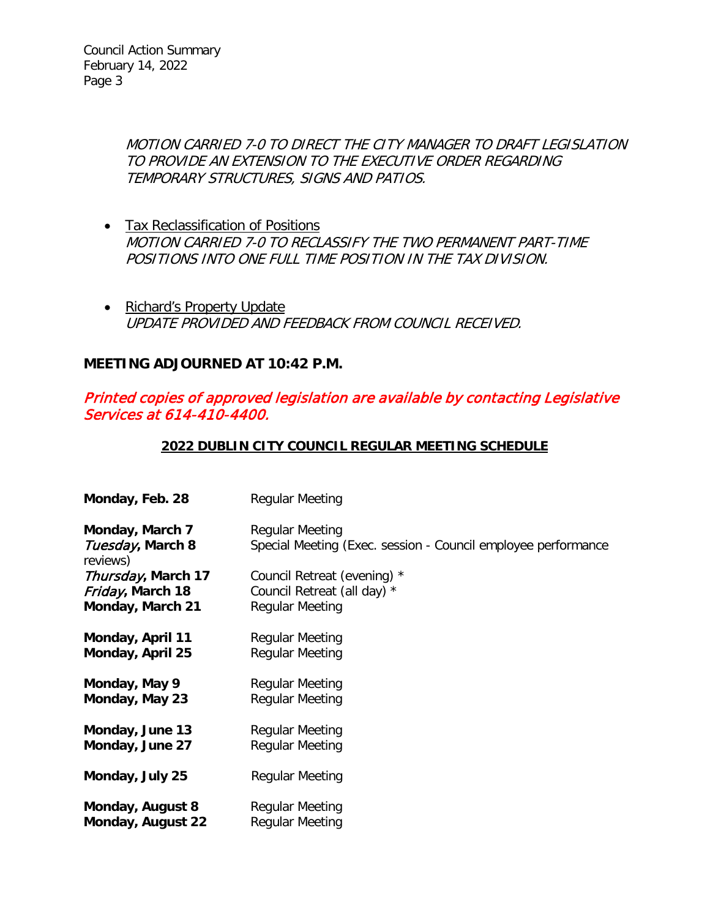MOTION CARRIED 7-0 TO DIRECT THE CITY MANAGER TO DRAFT LEGISLATION TO PROVIDE AN EXTENSION TO THE EXECUTIVE ORDER REGARDING TEMPORARY STRUCTURES, SIGNS AND PATIOS.

- Tax Reclassification of Positions MOTION CARRIED 7-0 TO RECLASSIFY THE TWO PERMANENT PART-TIME POSITIONS INTO ONE FULL TIME POSITION IN THE TAX DIVISION.
- Richard's Property Update UPDATE PROVIDED AND FEEDBACK FROM COUNCIL RECEIVED.

### **MEETING ADJOURNED AT 10:42 P.M.**

## Printed copies of approved legislation are available by contacting Legislative Services at 614-410-4400.

#### **2022 DUBLIN CITY COUNCIL REGULAR MEETING SCHEDULE**

| Monday, Feb. 28                                 | <b>Regular Meeting</b>                                                                  |
|-------------------------------------------------|-----------------------------------------------------------------------------------------|
| Monday, March 7<br>Tuesday, March 8<br>reviews) | <b>Regular Meeting</b><br>Special Meeting (Exec. session - Council employee performance |
| Thursday, March 17                              | Council Retreat (evening) *                                                             |
| Friday, March 18                                | Council Retreat (all day) *                                                             |
| Monday, March 21                                | Regular Meeting                                                                         |
| Monday, April 11                                | <b>Regular Meeting</b>                                                                  |
| Monday, April 25                                | Regular Meeting                                                                         |
| Monday, May 9                                   | <b>Regular Meeting</b>                                                                  |
| Monday, May 23                                  | <b>Regular Meeting</b>                                                                  |
| Monday, June 13                                 | <b>Regular Meeting</b>                                                                  |
| Monday, June 27                                 | <b>Regular Meeting</b>                                                                  |
| Monday, July 25                                 | <b>Regular Meeting</b>                                                                  |
| Monday, August 8                                | <b>Regular Meeting</b>                                                                  |
| Monday, August 22                               | <b>Regular Meeting</b>                                                                  |